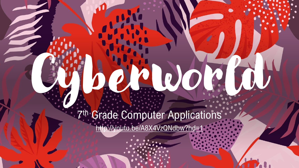7 th Grade Computer Applications <http://youtu.be/A8X4VzQNdbw?hd=1>

**QuoC**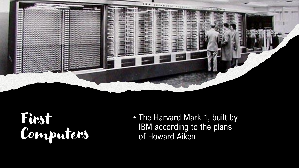

#### First Computers

• The Harvard Mark 1, built by IBM according to the plans of Howard Aiken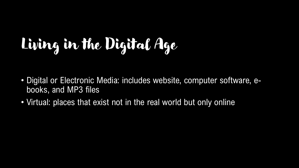# Living in the Digital Age

- Digital or Electronic Media: includes website, computer software, ebooks, and MP3 files
- Virtual: places that exist not in the real world but only online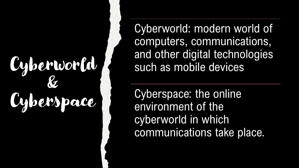### Cyberworld & Cyberspace

Cyberworld: modern world of computers, communications, and other digital technologies such as mobile devices

Cyberspace: the online environment of the cyberworld in which communications take place.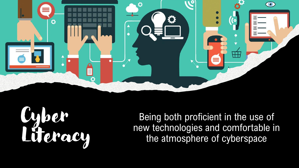

Cyber Literacy

Being both proficient in the use of new technologies and comfortable in the atmosphere of cyberspace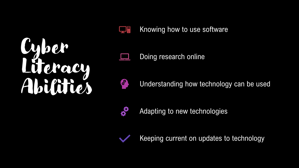# Cyber Literacy Abilities



Knowing how to use software

Doing research online



Understanding how technology can be used



Adapting to new technologies



Keeping current on updates to technology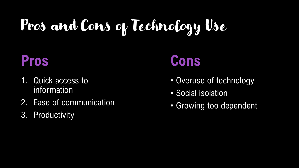## Pros and Cons of Technology Use

#### **Pros**

- 1. Quick access to information
- 2. Ease of communication
- 3. Productivity

### **Cons**

- Overuse of technology
- Social isolation
- Growing too dependent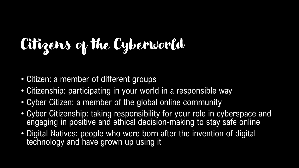# Citizens of the Cyberworld

- Citizen: a member of different groups
- Citizenship: participating in your world in a responsible way
- Cyber Citizen: a member of the global online community
- Cyber Citizenship: taking responsibility for your role in cyberspace and engaging in positive and ethical decision-making to stay safe online
- Digital Natives: people who were born after the invention of digital technology and have grown up using it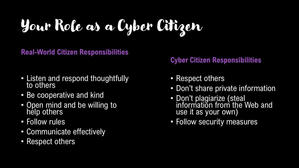Your Role as a Cyber Citizen

**Real-World Citizen Responsibilities**

- Listen and respond thoughtfully to others
- Be cooperative and kind
- Open mind and be willing to help others
- Follow rules
- Communicate effectively
- Respect others

#### **Cyber Citizen Responsibilities**

- Respect others
- Don't share private information
- Don't plagiarize (steal information from the Web and use it as your own)
- Follow security measures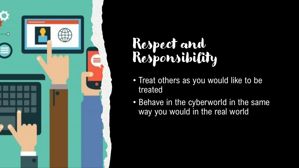

### Respect and Responsibility

- Treat others as you would like to be treated
- Behave in the cyberworld in the same way you would in the real world